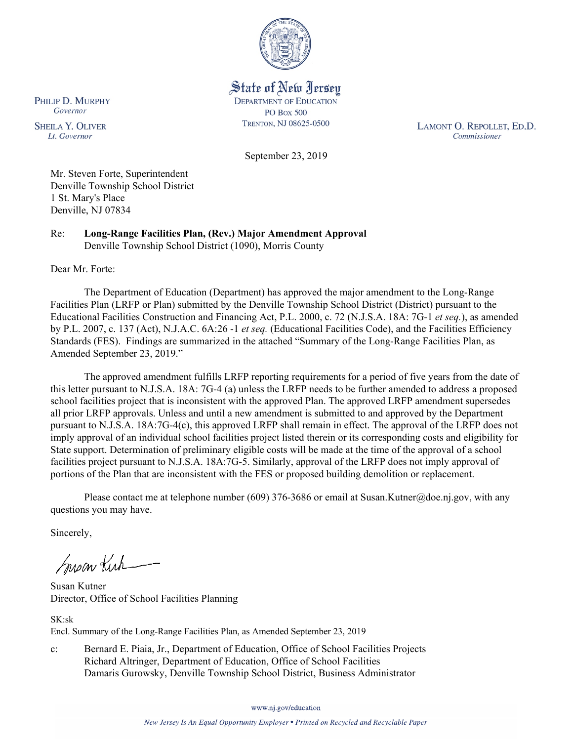

State of New Jersey **DEPARTMENT OF EDUCATION PO Box 500** TRENTON, NJ 08625-0500

LAMONT O. REPOLLET, ED.D. Commissioner

September 23, 2019

Mr. Steven Forte, Superintendent Denville Township School District 1 St. Mary's Place Denville, NJ 07834

Re: **Long-Range Facilities Plan, (Rev.) Major Amendment Approval**  Denville Township School District (1090), Morris County

Dear Mr. Forte:

PHILIP D. MURPHY Governor

**SHEILA Y. OLIVER** 

Lt. Governor

The Department of Education (Department) has approved the major amendment to the Long-Range Facilities Plan (LRFP or Plan) submitted by the Denville Township School District (District) pursuant to the Educational Facilities Construction and Financing Act, P.L. 2000, c. 72 (N.J.S.A. 18A: 7G-1 *et seq.*), as amended by P.L. 2007, c. 137 (Act), N.J.A.C. 6A:26 -1 *et seq.* (Educational Facilities Code), and the Facilities Efficiency Standards (FES). Findings are summarized in the attached "Summary of the Long-Range Facilities Plan, as Amended September 23, 2019."

The approved amendment fulfills LRFP reporting requirements for a period of five years from the date of this letter pursuant to N.J.S.A. 18A: 7G-4 (a) unless the LRFP needs to be further amended to address a proposed school facilities project that is inconsistent with the approved Plan. The approved LRFP amendment supersedes all prior LRFP approvals. Unless and until a new amendment is submitted to and approved by the Department pursuant to N.J.S.A. 18A:7G-4(c), this approved LRFP shall remain in effect. The approval of the LRFP does not imply approval of an individual school facilities project listed therein or its corresponding costs and eligibility for State support. Determination of preliminary eligible costs will be made at the time of the approval of a school facilities project pursuant to N.J.S.A. 18A:7G-5. Similarly, approval of the LRFP does not imply approval of portions of the Plan that are inconsistent with the FES or proposed building demolition or replacement.

Please contact me at telephone number (609) 376-3686 or email at Susan.Kutner@doe.nj.gov, with any questions you may have.

Sincerely,

Susan Kich

Susan Kutner Director, Office of School Facilities Planning

SK:sk Encl. Summary of the Long-Range Facilities Plan, as Amended September 23, 2019

c: Bernard E. Piaia, Jr., Department of Education, Office of School Facilities Projects Richard Altringer, Department of Education, Office of School Facilities Damaris Gurowsky, Denville Township School District, Business Administrator

www.nj.gov/education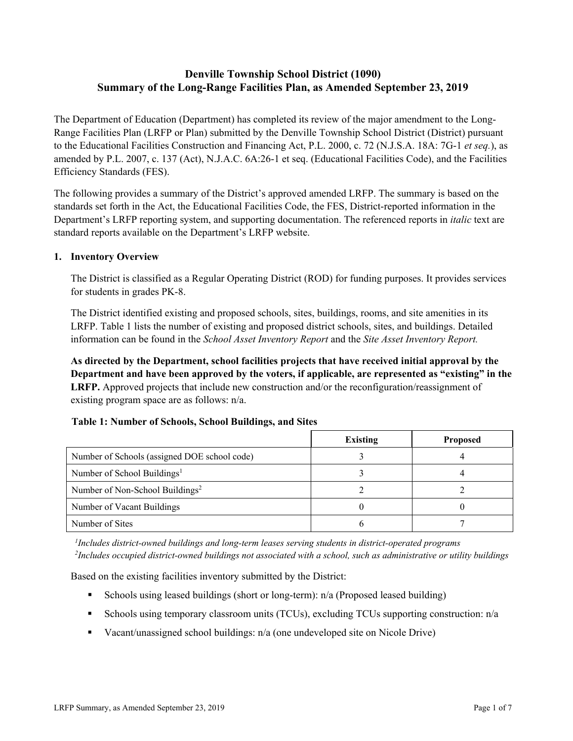# **Denville Township School District (1090) Summary of the Long-Range Facilities Plan, as Amended September 23, 2019**

The Department of Education (Department) has completed its review of the major amendment to the Long-Range Facilities Plan (LRFP or Plan) submitted by the Denville Township School District (District) pursuant to the Educational Facilities Construction and Financing Act, P.L. 2000, c. 72 (N.J.S.A. 18A: 7G-1 *et seq.*), as amended by P.L. 2007, c. 137 (Act), N.J.A.C. 6A:26-1 et seq. (Educational Facilities Code), and the Facilities Efficiency Standards (FES).

The following provides a summary of the District's approved amended LRFP. The summary is based on the standards set forth in the Act, the Educational Facilities Code, the FES, District-reported information in the Department's LRFP reporting system, and supporting documentation. The referenced reports in *italic* text are standard reports available on the Department's LRFP website.

### **1. Inventory Overview**

The District is classified as a Regular Operating District (ROD) for funding purposes. It provides services for students in grades PK-8.

The District identified existing and proposed schools, sites, buildings, rooms, and site amenities in its LRFP. Table 1 lists the number of existing and proposed district schools, sites, and buildings. Detailed information can be found in the *School Asset Inventory Report* and the *Site Asset Inventory Report.*

**As directed by the Department, school facilities projects that have received initial approval by the Department and have been approved by the voters, if applicable, are represented as "existing" in the LRFP.** Approved projects that include new construction and/or the reconfiguration/reassignment of existing program space are as follows: n/a.

|  |  | Table 1: Number of Schools, School Buildings, and Sites |  |
|--|--|---------------------------------------------------------|--|
|--|--|---------------------------------------------------------|--|

|                                              | <b>Existing</b> | <b>Proposed</b> |
|----------------------------------------------|-----------------|-----------------|
| Number of Schools (assigned DOE school code) |                 |                 |
| Number of School Buildings <sup>1</sup>      |                 |                 |
| Number of Non-School Buildings <sup>2</sup>  |                 |                 |
| Number of Vacant Buildings                   |                 |                 |
| Number of Sites                              |                 |                 |

*1 Includes district-owned buildings and long-term leases serving students in district-operated programs 2 Includes occupied district-owned buildings not associated with a school, such as administrative or utility buildings*

Based on the existing facilities inventory submitted by the District:

- Schools using leased buildings (short or long-term): n/a (Proposed leased building)
- Schools using temporary classroom units (TCUs), excluding TCUs supporting construction: n/a
- Vacant/unassigned school buildings: n/a (one undeveloped site on Nicole Drive)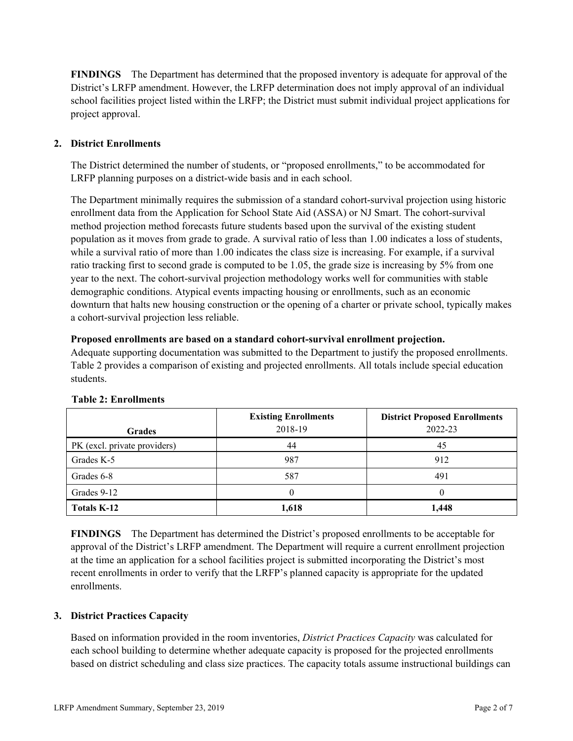**FINDINGS** The Department has determined that the proposed inventory is adequate for approval of the District's LRFP amendment. However, the LRFP determination does not imply approval of an individual school facilities project listed within the LRFP; the District must submit individual project applications for project approval.

# **2. District Enrollments**

The District determined the number of students, or "proposed enrollments," to be accommodated for LRFP planning purposes on a district-wide basis and in each school.

The Department minimally requires the submission of a standard cohort-survival projection using historic enrollment data from the Application for School State Aid (ASSA) or NJ Smart. The cohort-survival method projection method forecasts future students based upon the survival of the existing student population as it moves from grade to grade. A survival ratio of less than 1.00 indicates a loss of students, while a survival ratio of more than 1.00 indicates the class size is increasing. For example, if a survival ratio tracking first to second grade is computed to be 1.05, the grade size is increasing by 5% from one year to the next. The cohort-survival projection methodology works well for communities with stable demographic conditions. Atypical events impacting housing or enrollments, such as an economic downturn that halts new housing construction or the opening of a charter or private school, typically makes a cohort-survival projection less reliable.

### **Proposed enrollments are based on a standard cohort-survival enrollment projection.**

Adequate supporting documentation was submitted to the Department to justify the proposed enrollments. Table 2 provides a comparison of existing and projected enrollments. All totals include special education students.

| <b>Grades</b>                | <b>Existing Enrollments</b><br>2018-19 | <b>District Proposed Enrollments</b><br>2022-23 |
|------------------------------|----------------------------------------|-------------------------------------------------|
| PK (excl. private providers) | 44                                     | 45                                              |
| Grades K-5                   | 987                                    | 912                                             |
| Grades 6-8                   | 587                                    | 491                                             |
| Grades 9-12                  |                                        |                                                 |
| <b>Totals K-12</b>           | 1,618                                  | 1,448                                           |

### **Table 2: Enrollments**

**FINDINGS** The Department has determined the District's proposed enrollments to be acceptable for approval of the District's LRFP amendment. The Department will require a current enrollment projection at the time an application for a school facilities project is submitted incorporating the District's most recent enrollments in order to verify that the LRFP's planned capacity is appropriate for the updated enrollments.

### **3. District Practices Capacity**

Based on information provided in the room inventories, *District Practices Capacity* was calculated for each school building to determine whether adequate capacity is proposed for the projected enrollments based on district scheduling and class size practices. The capacity totals assume instructional buildings can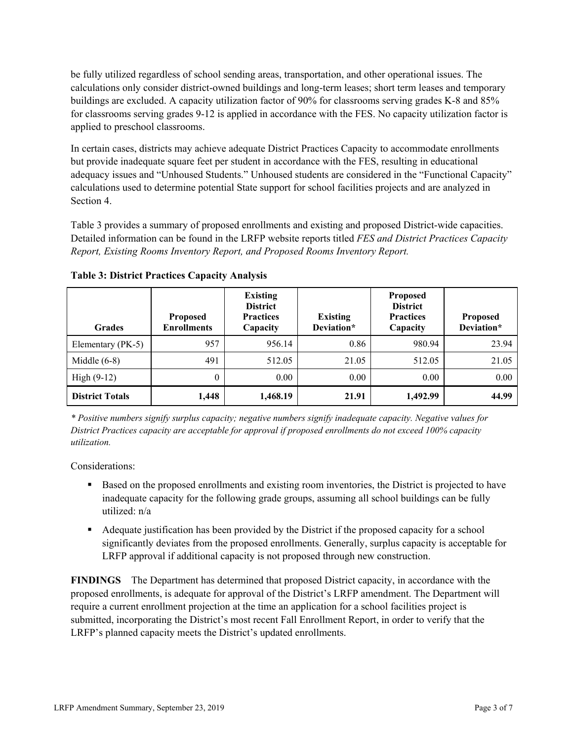be fully utilized regardless of school sending areas, transportation, and other operational issues. The calculations only consider district-owned buildings and long-term leases; short term leases and temporary buildings are excluded. A capacity utilization factor of 90% for classrooms serving grades K-8 and 85% for classrooms serving grades 9-12 is applied in accordance with the FES. No capacity utilization factor is applied to preschool classrooms.

In certain cases, districts may achieve adequate District Practices Capacity to accommodate enrollments but provide inadequate square feet per student in accordance with the FES, resulting in educational adequacy issues and "Unhoused Students." Unhoused students are considered in the "Functional Capacity" calculations used to determine potential State support for school facilities projects and are analyzed in Section 4.

Table 3 provides a summary of proposed enrollments and existing and proposed District-wide capacities. Detailed information can be found in the LRFP website reports titled *FES and District Practices Capacity Report, Existing Rooms Inventory Report, and Proposed Rooms Inventory Report.*

| <b>Grades</b>          | <b>Proposed</b><br><b>Enrollments</b> | <b>Existing</b><br><b>District</b><br><b>Practices</b><br>Capacity | <b>Existing</b><br>Deviation* | <b>Proposed</b><br><b>District</b><br><b>Practices</b><br>Capacity | <b>Proposed</b><br>Deviation* |
|------------------------|---------------------------------------|--------------------------------------------------------------------|-------------------------------|--------------------------------------------------------------------|-------------------------------|
| Elementary (PK-5)      | 957                                   | 956.14                                                             | 0.86                          | 980.94                                                             | 23.94                         |
| Middle $(6-8)$         | 491                                   | 512.05                                                             | 21.05                         | 512.05                                                             | 21.05                         |
| High $(9-12)$          | $\Omega$                              | 0.00                                                               | 0.00                          | 0.00                                                               | 0.00                          |
| <b>District Totals</b> | 1,448                                 | 1,468.19                                                           | 21.91                         | 1,492.99                                                           | 44.99                         |

**Table 3: District Practices Capacity Analysis**

*\* Positive numbers signify surplus capacity; negative numbers signify inadequate capacity. Negative values for District Practices capacity are acceptable for approval if proposed enrollments do not exceed 100% capacity utilization.*

Considerations:

- Based on the proposed enrollments and existing room inventories, the District is projected to have inadequate capacity for the following grade groups, assuming all school buildings can be fully utilized: n/a
- Adequate justification has been provided by the District if the proposed capacity for a school significantly deviates from the proposed enrollments. Generally, surplus capacity is acceptable for LRFP approval if additional capacity is not proposed through new construction.

**FINDINGS**The Department has determined that proposed District capacity, in accordance with the proposed enrollments, is adequate for approval of the District's LRFP amendment. The Department will require a current enrollment projection at the time an application for a school facilities project is submitted, incorporating the District's most recent Fall Enrollment Report, in order to verify that the LRFP's planned capacity meets the District's updated enrollments.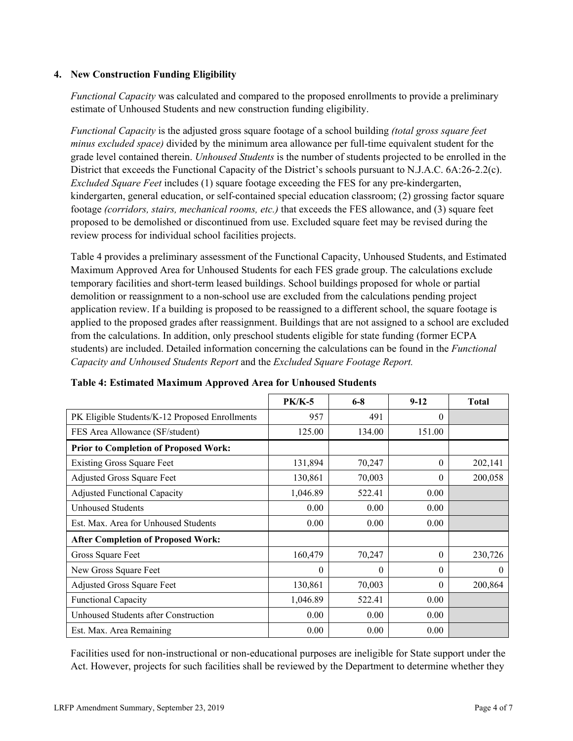### **4. New Construction Funding Eligibility**

*Functional Capacity* was calculated and compared to the proposed enrollments to provide a preliminary estimate of Unhoused Students and new construction funding eligibility.

*Functional Capacity* is the adjusted gross square footage of a school building *(total gross square feet minus excluded space)* divided by the minimum area allowance per full-time equivalent student for the grade level contained therein. *Unhoused Students* is the number of students projected to be enrolled in the District that exceeds the Functional Capacity of the District's schools pursuant to N.J.A.C. 6A:26-2.2(c). *Excluded Square Feet* includes (1) square footage exceeding the FES for any pre-kindergarten, kindergarten, general education, or self-contained special education classroom; (2) grossing factor square footage *(corridors, stairs, mechanical rooms, etc.)* that exceeds the FES allowance, and (3) square feet proposed to be demolished or discontinued from use. Excluded square feet may be revised during the review process for individual school facilities projects.

Table 4 provides a preliminary assessment of the Functional Capacity, Unhoused Students, and Estimated Maximum Approved Area for Unhoused Students for each FES grade group. The calculations exclude temporary facilities and short-term leased buildings. School buildings proposed for whole or partial demolition or reassignment to a non-school use are excluded from the calculations pending project application review. If a building is proposed to be reassigned to a different school, the square footage is applied to the proposed grades after reassignment. Buildings that are not assigned to a school are excluded from the calculations. In addition, only preschool students eligible for state funding (former ECPA students) are included. Detailed information concerning the calculations can be found in the *Functional Capacity and Unhoused Students Report* and the *Excluded Square Footage Report.*

|                                                | $PK/K-5$ | $6 - 8$  | $9-12$   | <b>Total</b> |
|------------------------------------------------|----------|----------|----------|--------------|
| PK Eligible Students/K-12 Proposed Enrollments | 957      | 491      | $\Omega$ |              |
| FES Area Allowance (SF/student)                | 125.00   | 134.00   | 151.00   |              |
| <b>Prior to Completion of Proposed Work:</b>   |          |          |          |              |
| <b>Existing Gross Square Feet</b>              | 131,894  | 70,247   | $\theta$ | 202,141      |
| Adjusted Gross Square Feet                     | 130,861  | 70,003   | $\Omega$ | 200,058      |
| <b>Adjusted Functional Capacity</b>            | 1,046.89 | 522.41   | 0.00     |              |
| <b>Unhoused Students</b>                       | 0.00     | 0.00     | 0.00     |              |
| Est. Max. Area for Unhoused Students           | 0.00     | 0.00     | 0.00     |              |
| <b>After Completion of Proposed Work:</b>      |          |          |          |              |
| Gross Square Feet                              | 160,479  | 70,247   | $\theta$ | 230,726      |
| New Gross Square Feet                          | 0        | $\theta$ | $\theta$ | $\theta$     |
| Adjusted Gross Square Feet                     | 130,861  | 70,003   | $\theta$ | 200,864      |
| <b>Functional Capacity</b>                     | 1,046.89 | 522.41   | 0.00     |              |
| Unhoused Students after Construction           | 0.00     | 0.00     | 0.00     |              |
| Est. Max. Area Remaining                       | 0.00     | 0.00     | 0.00     |              |

### **Table 4: Estimated Maximum Approved Area for Unhoused Students**

Facilities used for non-instructional or non-educational purposes are ineligible for State support under the Act. However, projects for such facilities shall be reviewed by the Department to determine whether they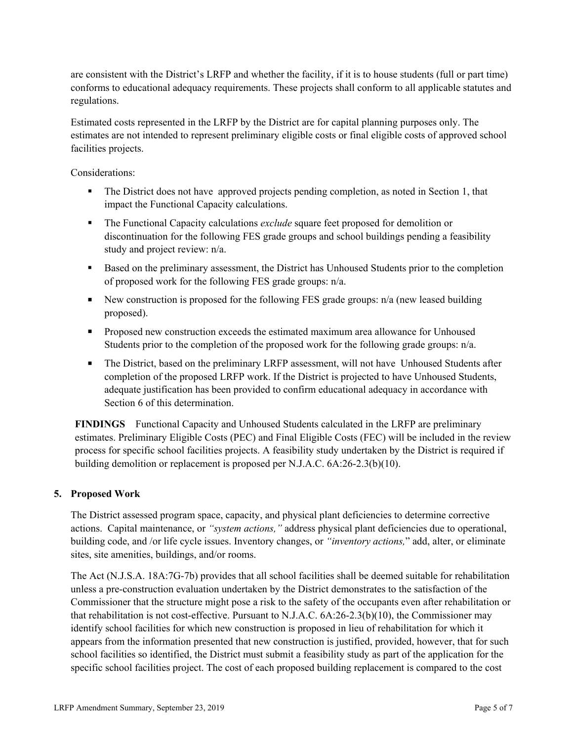are consistent with the District's LRFP and whether the facility, if it is to house students (full or part time) conforms to educational adequacy requirements. These projects shall conform to all applicable statutes and regulations.

Estimated costs represented in the LRFP by the District are for capital planning purposes only. The estimates are not intended to represent preliminary eligible costs or final eligible costs of approved school facilities projects.

Considerations:

- The District does not have approved projects pending completion, as noted in Section 1, that impact the Functional Capacity calculations.
- The Functional Capacity calculations *exclude* square feet proposed for demolition or discontinuation for the following FES grade groups and school buildings pending a feasibility study and project review: n/a.
- Based on the preliminary assessment, the District has Unhoused Students prior to the completion of proposed work for the following FES grade groups: n/a.
- New construction is proposed for the following FES grade groups:  $n/a$  (new leased building proposed).
- **Proposed new construction exceeds the estimated maximum area allowance for Unhoused** Students prior to the completion of the proposed work for the following grade groups: n/a.
- The District, based on the preliminary LRFP assessment, will not have Unhoused Students after completion of the proposed LRFP work. If the District is projected to have Unhoused Students, adequate justification has been provided to confirm educational adequacy in accordance with Section 6 of this determination.

**FINDINGS** Functional Capacity and Unhoused Students calculated in the LRFP are preliminary estimates. Preliminary Eligible Costs (PEC) and Final Eligible Costs (FEC) will be included in the review process for specific school facilities projects. A feasibility study undertaken by the District is required if building demolition or replacement is proposed per N.J.A.C. 6A:26-2.3(b)(10).

# **5. Proposed Work**

The District assessed program space, capacity, and physical plant deficiencies to determine corrective actions. Capital maintenance, or *"system actions,"* address physical plant deficiencies due to operational, building code, and /or life cycle issues. Inventory changes, or *"inventory actions,*" add, alter, or eliminate sites, site amenities, buildings, and/or rooms.

The Act (N.J.S.A. 18A:7G-7b) provides that all school facilities shall be deemed suitable for rehabilitation unless a pre-construction evaluation undertaken by the District demonstrates to the satisfaction of the Commissioner that the structure might pose a risk to the safety of the occupants even after rehabilitation or that rehabilitation is not cost-effective. Pursuant to N.J.A.C. 6A:26-2.3(b)(10), the Commissioner may identify school facilities for which new construction is proposed in lieu of rehabilitation for which it appears from the information presented that new construction is justified, provided, however, that for such school facilities so identified, the District must submit a feasibility study as part of the application for the specific school facilities project. The cost of each proposed building replacement is compared to the cost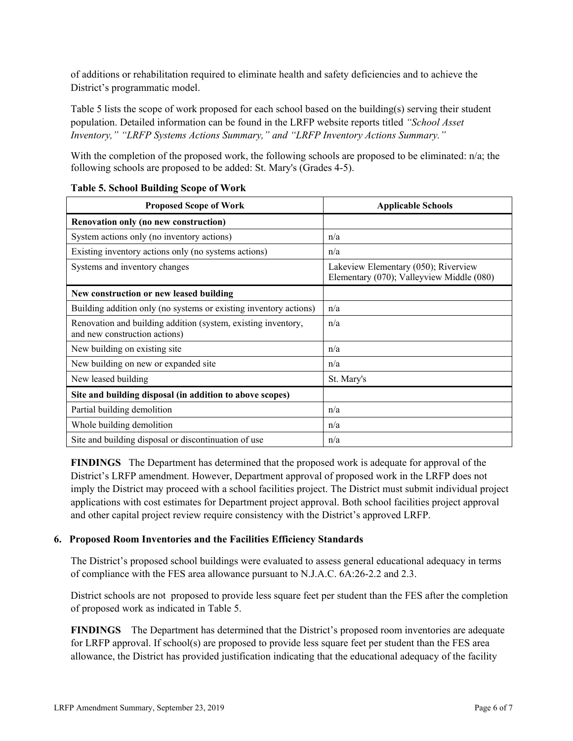of additions or rehabilitation required to eliminate health and safety deficiencies and to achieve the District's programmatic model.

Table 5 lists the scope of work proposed for each school based on the building(s) serving their student population. Detailed information can be found in the LRFP website reports titled *"School Asset Inventory," "LRFP Systems Actions Summary," and "LRFP Inventory Actions Summary."*

With the completion of the proposed work, the following schools are proposed to be eliminated: n/a; the following schools are proposed to be added: St. Mary's (Grades 4-5).

| <b>Proposed Scope of Work</b>                                                                  | <b>Applicable Schools</b>                                                         |  |  |
|------------------------------------------------------------------------------------------------|-----------------------------------------------------------------------------------|--|--|
| Renovation only (no new construction)                                                          |                                                                                   |  |  |
| System actions only (no inventory actions)                                                     | n/a                                                                               |  |  |
| Existing inventory actions only (no systems actions)                                           | n/a                                                                               |  |  |
| Systems and inventory changes                                                                  | Lakeview Elementary (050); Riverview<br>Elementary (070); Valleyview Middle (080) |  |  |
| New construction or new leased building                                                        |                                                                                   |  |  |
| Building addition only (no systems or existing inventory actions)                              | n/a                                                                               |  |  |
| Renovation and building addition (system, existing inventory,<br>and new construction actions) | n/a                                                                               |  |  |
| New building on existing site.                                                                 | n/a                                                                               |  |  |
| New building on new or expanded site                                                           | n/a                                                                               |  |  |
| New leased building                                                                            | St. Mary's                                                                        |  |  |
| Site and building disposal (in addition to above scopes)                                       |                                                                                   |  |  |
| Partial building demolition                                                                    | n/a                                                                               |  |  |
| Whole building demolition                                                                      | n/a                                                                               |  |  |
| Site and building disposal or discontinuation of use                                           | n/a                                                                               |  |  |

### **Table 5. School Building Scope of Work**

**FINDINGS** The Department has determined that the proposed work is adequate for approval of the District's LRFP amendment. However, Department approval of proposed work in the LRFP does not imply the District may proceed with a school facilities project. The District must submit individual project applications with cost estimates for Department project approval. Both school facilities project approval and other capital project review require consistency with the District's approved LRFP.

# **6. Proposed Room Inventories and the Facilities Efficiency Standards**

The District's proposed school buildings were evaluated to assess general educational adequacy in terms of compliance with the FES area allowance pursuant to N.J.A.C. 6A:26-2.2 and 2.3.

District schools are not proposed to provide less square feet per student than the FES after the completion of proposed work as indicated in Table 5.

**FINDINGS** The Department has determined that the District's proposed room inventories are adequate for LRFP approval. If school(s) are proposed to provide less square feet per student than the FES area allowance, the District has provided justification indicating that the educational adequacy of the facility